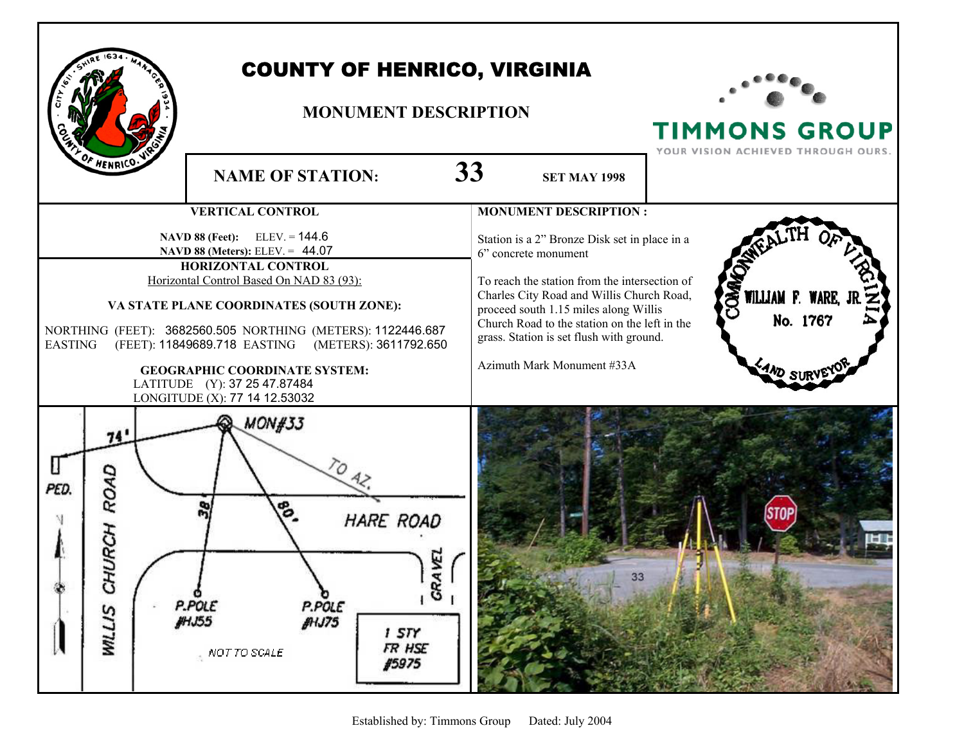